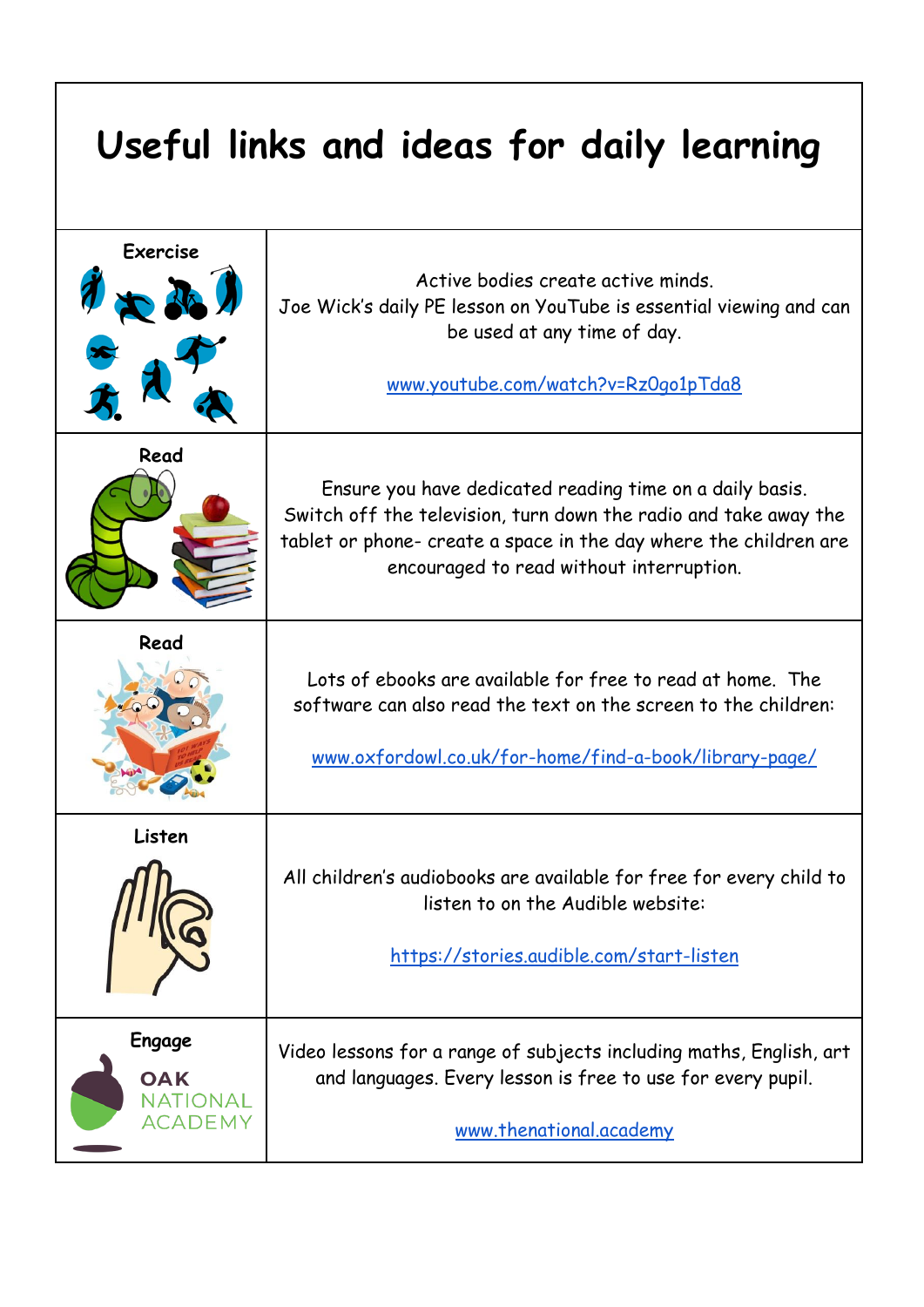